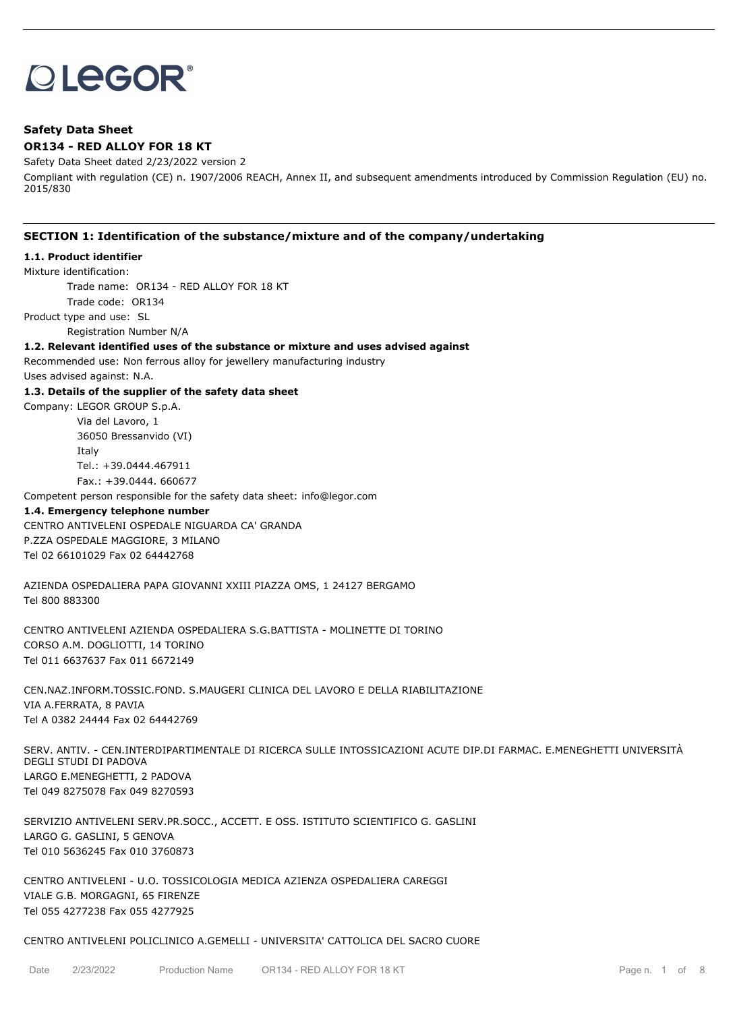# **OLEGOR®**

# **Safety Data Sheet OR134 - RED ALLOY FOR 18 KT**

Safety Data Sheet dated 2/23/2022 version 2

Compliant with regulation (CE) n. 1907/2006 REACH, Annex II, and subsequent amendments introduced by Commission Regulation (EU) no. 2015/830

# **SECTION 1: Identification of the substance/mixture and of the company/undertaking**

# **1.1. Product identifier**

Mixture identification:

Trade name: OR134 - RED ALLOY FOR 18 KT

Trade code: OR134

Product type and use: SL

Registration Number N/A

# **1.2. Relevant identified uses of the substance or mixture and uses advised against**

Recommended use: Non ferrous alloy for jewellery manufacturing industry Uses advised against: N.A.

# **1.3. Details of the supplier of the safety data sheet**

Company: LEGOR GROUP S.p.A.

Via del Lavoro, 1 36050 Bressanvido (VI) Italy Tel.: +39.0444.467911 Fax.: +39.0444. 660677

Competent person responsible for the safety data sheet: info@legor.com

## **1.4. Emergency telephone number**

CENTRO ANTIVELENI OSPEDALE NIGUARDA CA' GRANDA P.ZZA OSPEDALE MAGGIORE, 3 MILANO Tel 02 66101029 Fax 02 64442768

AZIENDA OSPEDALIERA PAPA GIOVANNI XXIII PIAZZA OMS, 1 24127 BERGAMO Tel 800 883300

CENTRO ANTIVELENI AZIENDA OSPEDALIERA S.G.BATTISTA - MOLINETTE DI TORINO CORSO A.M. DOGLIOTTI, 14 TORINO Tel 011 6637637 Fax 011 6672149

CEN.NAZ.INFORM.TOSSIC.FOND. S.MAUGERI CLINICA DEL LAVORO E DELLA RIABILITAZIONE VIA A.FERRATA, 8 PAVIA Tel A 0382 24444 Fax 02 64442769

SERV. ANTIV. - CEN.INTERDIPARTIMENTALE DI RICERCA SULLE INTOSSICAZIONI ACUTE DIP.DI FARMAC. E.MENEGHETTI UNIVERSITÀ DEGLI STUDI DI PADOVA LARGO E.MENEGHETTI, 2 PADOVA Tel 049 8275078 Fax 049 8270593

SERVIZIO ANTIVELENI SERV.PR.SOCC., ACCETT. E OSS. ISTITUTO SCIENTIFICO G. GASLINI LARGO G. GASLINI, 5 GENOVA Tel 010 5636245 Fax 010 3760873

CENTRO ANTIVELENI - U.O. TOSSICOLOGIA MEDICA AZIENZA OSPEDALIERA CAREGGI VIALE G.B. MORGAGNI, 65 FIRENZE Tel 055 4277238 Fax 055 4277925

# CENTRO ANTIVELENI POLICLINICO A.GEMELLI - UNIVERSITA' CATTOLICA DEL SACRO CUORE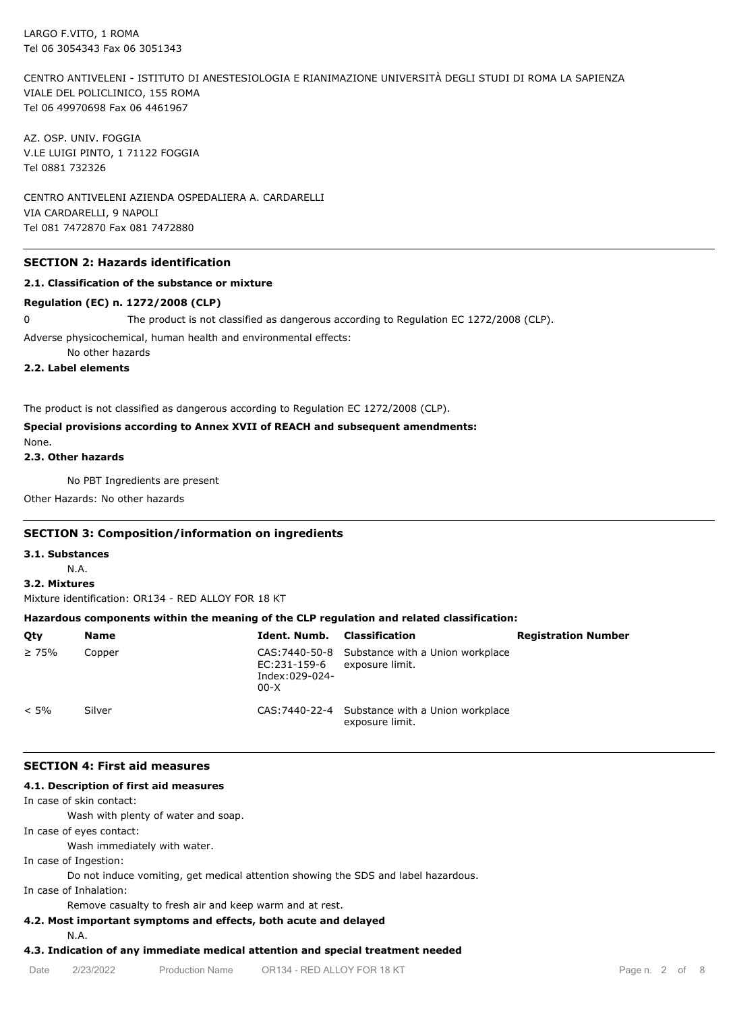CENTRO ANTIVELENI - ISTITUTO DI ANESTESIOLOGIA E RIANIMAZIONE UNIVERSITÀ DEGLI STUDI DI ROMA LA SAPIENZA VIALE DEL POLICLINICO, 155 ROMA Tel 06 49970698 Fax 06 4461967

AZ. OSP. UNIV. FOGGIA V.LE LUIGI PINTO, 1 71122 FOGGIA Tel 0881 732326

CENTRO ANTIVELENI AZIENDA OSPEDALIERA A. CARDARELLI VIA CARDARELLI, 9 NAPOLI Tel 081 7472870 Fax 081 7472880

## **SECTION 2: Hazards identification**

## **2.1. Classification of the substance or mixture**

## **Regulation (EC) n. 1272/2008 (CLP)**

0 The product is not classified as dangerous according to Regulation EC 1272/2008 (CLP).

Adverse physicochemical, human health and environmental effects:

No other hazards

# **2.2. Label elements**

The product is not classified as dangerous according to Regulation EC 1272/2008 (CLP).

# **Special provisions according to Annex XVII of REACH and subsequent amendments:**

None. **2.3. Other hazards**

No PBT Ingredients are present

Other Hazards: No other hazards

# **SECTION 3: Composition/information on ingredients**

#### **3.1. Substances**

N.A.

**3.2. Mixtures**

Mixture identification: OR134 - RED ALLOY FOR 18 KT

## **Hazardous components within the meaning of the CLP regulation and related classification:**

| Qty         | <b>Name</b> | Ident. Numb.                             | Classification                                                     | <b>Registration Number</b> |
|-------------|-------------|------------------------------------------|--------------------------------------------------------------------|----------------------------|
| $\geq 75\%$ | Copper      | EC:231-159-6<br>Index:029-024-<br>$00-X$ | CAS: 7440-50-8 Substance with a Union workplace<br>exposure limit. |                            |
| $< 5\%$     | Silver      |                                          | CAS: 7440-22-4 Substance with a Union workplace<br>exposure limit. |                            |

## **SECTION 4: First aid measures**

## **4.1. Description of first aid measures**

In case of skin contact:

Wash with plenty of water and soap.

In case of eyes contact:

Wash immediately with water.

In case of Ingestion:

Do not induce vomiting, get medical attention showing the SDS and label hazardous.

In case of Inhalation:

Remove casualty to fresh air and keep warm and at rest.

# **4.2. Most important symptoms and effects, both acute and delayed**

N.A.

# **4.3. Indication of any immediate medical attention and special treatment needed**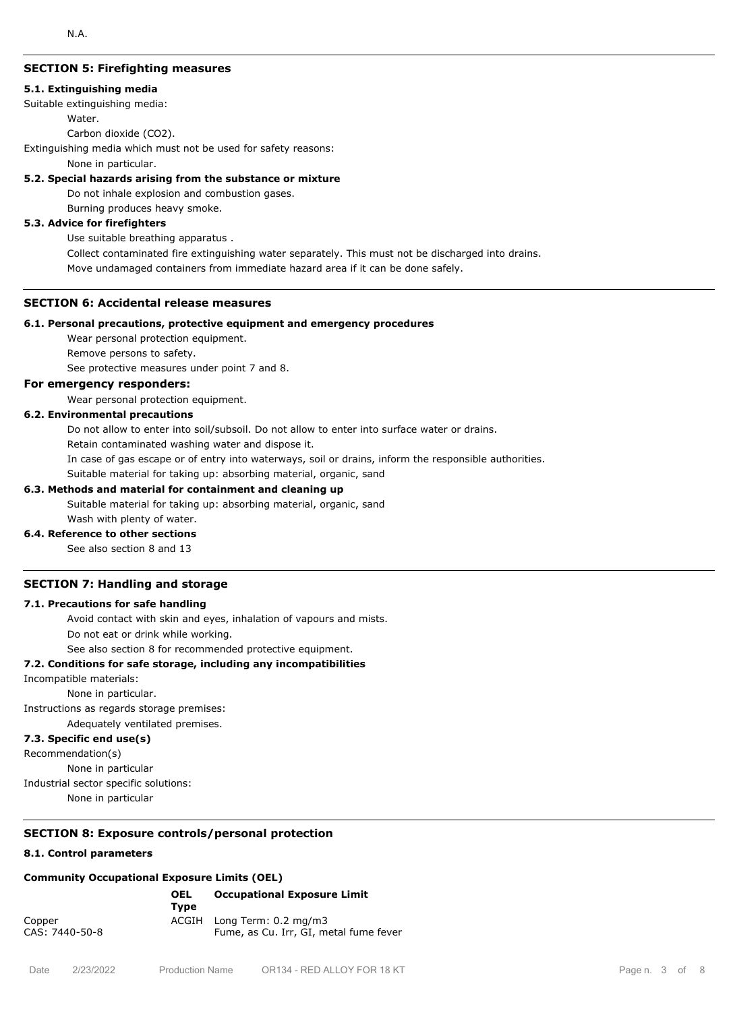## **SECTION 5: Firefighting measures**

#### **5.1. Extinguishing media**

Suitable extinguishing media:

#### Water.

Carbon dioxide (CO2).

Extinguishing media which must not be used for safety reasons:

None in particular.

## **5.2. Special hazards arising from the substance or mixture**

Do not inhale explosion and combustion gases.

Burning produces heavy smoke.

# **5.3. Advice for firefighters**

Use suitable breathing apparatus .

Collect contaminated fire extinguishing water separately. This must not be discharged into drains.

Move undamaged containers from immediate hazard area if it can be done safely.

## **SECTION 6: Accidental release measures**

## **6.1. Personal precautions, protective equipment and emergency procedures**

Wear personal protection equipment.

Remove persons to safety.

See protective measures under point 7 and 8.

# **For emergency responders:**

Wear personal protection equipment.

# **6.2. Environmental precautions**

Do not allow to enter into soil/subsoil. Do not allow to enter into surface water or drains.

Retain contaminated washing water and dispose it.

In case of gas escape or of entry into waterways, soil or drains, inform the responsible authorities.

Suitable material for taking up: absorbing material, organic, sand

## **6.3. Methods and material for containment and cleaning up**

Suitable material for taking up: absorbing material, organic, sand Wash with plenty of water.

# **6.4. Reference to other sections**

See also section 8 and 13

## **SECTION 7: Handling and storage**

## **7.1. Precautions for safe handling**

Avoid contact with skin and eyes, inhalation of vapours and mists.

Do not eat or drink while working.

See also section 8 for recommended protective equipment.

## **7.2. Conditions for safe storage, including any incompatibilities**

Incompatible materials:

None in particular.

Instructions as regards storage premises:

Adequately ventilated premises.

# **7.3. Specific end use(s)**

Recommendation(s)

None in particular

Industrial sector specific solutions:

None in particular

# **SECTION 8: Exposure controls/personal protection**

# **8.1. Control parameters**

# **Community Occupational Exposure Limits (OEL)**

|                          | <b>OEL</b><br>Tvpe | <b>Occupational Exposure Limit</b>                                   |
|--------------------------|--------------------|----------------------------------------------------------------------|
| Copper<br>CAS: 7440-50-8 |                    | ACGIH Long Term: 0.2 mg/m3<br>Fume, as Cu. Irr, GI, metal fume fever |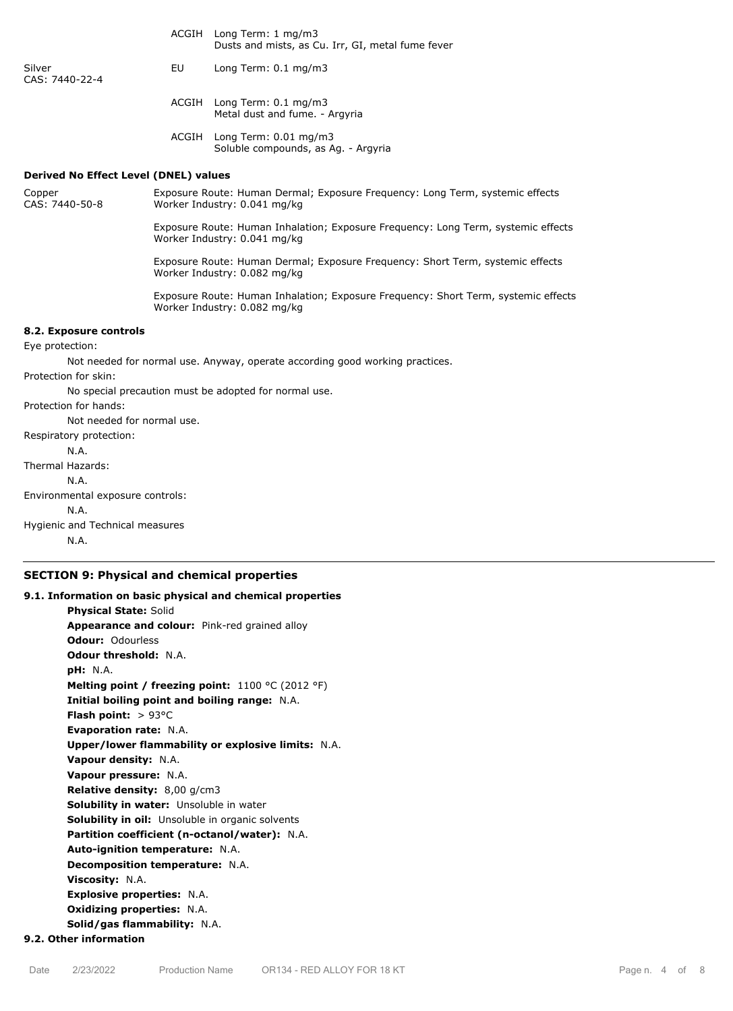|                                              |                                                                                                               | ACOIII LONG I CHIII 1 ING/INS<br>Dusts and mists, as Cu. Irr, GI, metal fume fever                                 |  |
|----------------------------------------------|---------------------------------------------------------------------------------------------------------------|--------------------------------------------------------------------------------------------------------------------|--|
| Silver<br>CAS: 7440-22-4                     | EU                                                                                                            | Long Term: 0.1 mg/m3                                                                                               |  |
|                                              |                                                                                                               | ACGIH Long Term: 0.1 mg/m3<br>Metal dust and fume. - Argyria                                                       |  |
|                                              |                                                                                                               | ACGIH Long Term: 0.01 mg/m3<br>Soluble compounds, as Ag. - Argyria                                                 |  |
| <b>Derived No Effect Level (DNEL) values</b> |                                                                                                               |                                                                                                                    |  |
| Copper<br>CAS: 7440-50-8                     | Exposure Route: Human Dermal; Exposure Frequency: Long Term, systemic effects<br>Worker Industry: 0.041 mg/kg |                                                                                                                    |  |
| Worker Industry: 0.041 mg/kg                 |                                                                                                               | Exposure Route: Human Inhalation; Exposure Frequency: Long Term, systemic effects                                  |  |
|                                              |                                                                                                               | Exposure Route: Human Dermal; Exposure Frequency: Short Term, systemic effects<br>Worker Industry: 0.082 mg/kg     |  |
|                                              |                                                                                                               | Exposure Route: Human Inhalation; Exposure Frequency: Short Term, systemic effects<br>Worker Industry: 0.082 mg/kg |  |
| 8.2. Exposure controls                       |                                                                                                               |                                                                                                                    |  |
| Eye protection:                              |                                                                                                               |                                                                                                                    |  |
|                                              |                                                                                                               | Not needed for normal use. Anyway, operate according good working practices.                                       |  |
| Protection for skin:                         |                                                                                                               |                                                                                                                    |  |
|                                              |                                                                                                               | No special precaution must be adopted for normal use.                                                              |  |
| Protection for hands:                        |                                                                                                               |                                                                                                                    |  |
| Not needed for normal use.                   |                                                                                                               |                                                                                                                    |  |
| Respiratory protection:                      |                                                                                                               |                                                                                                                    |  |
| N.A.                                         |                                                                                                               |                                                                                                                    |  |
| Thermal Hazards:                             |                                                                                                               |                                                                                                                    |  |
| N.A.                                         |                                                                                                               |                                                                                                                    |  |
| Environmental exposure controls:             |                                                                                                               |                                                                                                                    |  |
| N.A.                                         |                                                                                                               |                                                                                                                    |  |
| Hygienic and Technical measures              |                                                                                                               |                                                                                                                    |  |
| N.A.                                         |                                                                                                               |                                                                                                                    |  |

ACGIH Long Term: 1 mg/m3

# **SECTION 9: Physical and chemical properties**

**9.1. Information on basic physical and chemical properties Physical State:** Solid **Appearance and colour:** Pink-red grained alloy **Odour:** Odourless **Odour threshold:** N.A. **pH:** N.A. **Melting point / freezing point:** 1100 °C (2012 °F) **Initial boiling point and boiling range:** N.A. **Flash point:** > 93°C **Evaporation rate:** N.A. **Upper/lower flammability or explosive limits:** N.A. **Vapour density:** N.A. **Vapour pressure:** N.A. **Relative density:** 8,00 g/cm3 **Solubility in water:** Unsoluble in water **Solubility in oil:** Unsoluble in organic solvents **Partition coefficient (n-octanol/water):** N.A. **Auto-ignition temperature:** N.A. **Decomposition temperature:** N.A. **Viscosity:** N.A. **Explosive properties:** N.A. **Oxidizing properties:** N.A. **Solid/gas flammability:** N.A. **9.2. Other information**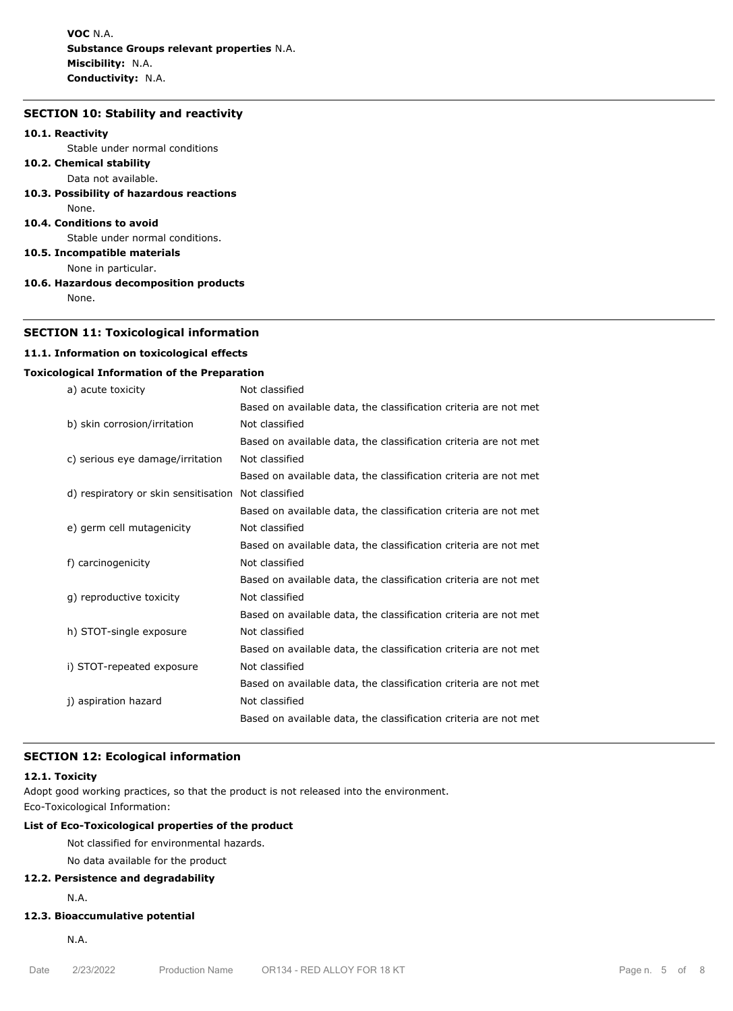**VOC** N.A. **Substance Groups relevant properties** N.A. **Miscibility:** N.A. **Conductivity:** N.A.

# **SECTION 10: Stability and reactivity**

#### **10.1. Reactivity**

Stable under normal conditions

- **10.2. Chemical stability** Data not available.
- **10.3. Possibility of hazardous reactions**
- None.
- **10.4. Conditions to avoid**

Stable under normal conditions.

**10.5. Incompatible materials**

- None in particular.
- **10.6. Hazardous decomposition products** None.

# **SECTION 11: Toxicological information**

# **11.1. Information on toxicological effects**

# **Toxicological Information of the Preparation**

| a) acute toxicity                    | Not classified                                                   |
|--------------------------------------|------------------------------------------------------------------|
|                                      | Based on available data, the classification criteria are not met |
| b) skin corrosion/irritation         | Not classified                                                   |
|                                      | Based on available data, the classification criteria are not met |
| c) serious eye damage/irritation     | Not classified                                                   |
|                                      | Based on available data, the classification criteria are not met |
| d) respiratory or skin sensitisation | Not classified                                                   |
|                                      | Based on available data, the classification criteria are not met |
| e) germ cell mutagenicity            | Not classified                                                   |
|                                      | Based on available data, the classification criteria are not met |
| f) carcinogenicity                   | Not classified                                                   |
|                                      | Based on available data, the classification criteria are not met |
| g) reproductive toxicity             | Not classified                                                   |
|                                      | Based on available data, the classification criteria are not met |
| h) STOT-single exposure              | Not classified                                                   |
|                                      | Based on available data, the classification criteria are not met |
| i) STOT-repeated exposure            | Not classified                                                   |
|                                      | Based on available data, the classification criteria are not met |
| j) aspiration hazard                 | Not classified                                                   |
|                                      | Based on available data, the classification criteria are not met |
|                                      |                                                                  |

# **SECTION 12: Ecological information**

## **12.1. Toxicity**

Adopt good working practices, so that the product is not released into the environment.

Eco-Toxicological Information:

# **List of Eco-Toxicological properties of the product**

Not classified for environmental hazards.

No data available for the product

# **12.2. Persistence and degradability**

N.A.

# **12.3. Bioaccumulative potential**

N.A.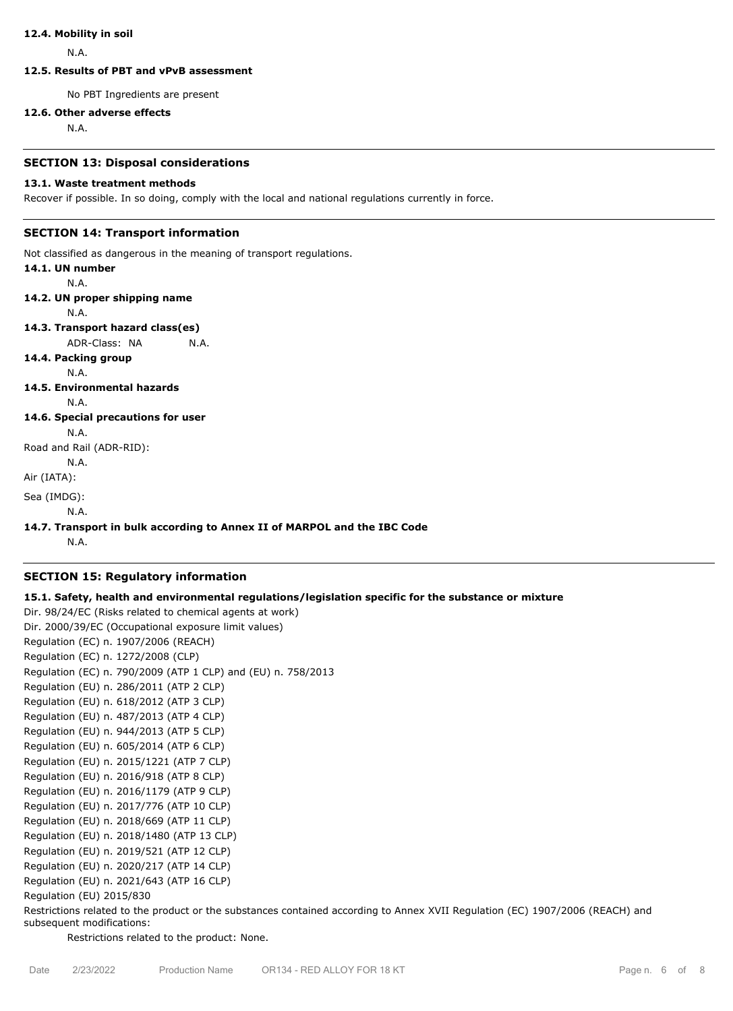#### **12.4. Mobility in soil**

N.A.

# **12.5. Results of PBT and vPvB assessment**

No PBT Ingredients are present

## **12.6. Other adverse effects**

N.A.

#### **SECTION 13: Disposal considerations**

#### **13.1. Waste treatment methods**

Recover if possible. In so doing, comply with the local and national regulations currently in force.

# **SECTION 14: Transport information**

Not classified as dangerous in the meaning of transport regulations.

| 14.1. UN number                    |                                                                          |
|------------------------------------|--------------------------------------------------------------------------|
| N.A.                               |                                                                          |
| 14.2. UN proper shipping name      |                                                                          |
| N.A.                               |                                                                          |
| 14.3. Transport hazard class(es)   |                                                                          |
| ADR-Class: NA                      | N.A.                                                                     |
| 14.4. Packing group                |                                                                          |
| N.A.                               |                                                                          |
| 14.5. Environmental hazards        |                                                                          |
| N.A.                               |                                                                          |
| 14.6. Special precautions for user |                                                                          |
| N.A.                               |                                                                          |
| Road and Rail (ADR-RID):           |                                                                          |
| N.A.                               |                                                                          |
| Air (IATA):                        |                                                                          |
| Sea (IMDG):                        |                                                                          |
| N.A.                               |                                                                          |
|                                    | 14.7. Transport in bulk according to Annex II of MARPOL and the IBC Code |
| N.A.                               |                                                                          |

## **SECTION 15: Regulatory information**

# **15.1. Safety, health and environmental regulations/legislation specific for the substance or mixture**

Dir. 98/24/EC (Risks related to chemical agents at work) Dir. 2000/39/EC (Occupational exposure limit values) Regulation (EC) n. 1907/2006 (REACH) Regulation (EC) n. 1272/2008 (CLP) Regulation (EC) n. 790/2009 (ATP 1 CLP) and (EU) n. 758/2013 Regulation (EU) n. 286/2011 (ATP 2 CLP) Regulation (EU) n. 618/2012 (ATP 3 CLP) Regulation (EU) n. 487/2013 (ATP 4 CLP) Regulation (EU) n. 944/2013 (ATP 5 CLP) Regulation (EU) n. 605/2014 (ATP 6 CLP) Regulation (EU) n. 2015/1221 (ATP 7 CLP) Regulation (EU) n. 2016/918 (ATP 8 CLP) Regulation (EU) n. 2016/1179 (ATP 9 CLP) Regulation (EU) n. 2017/776 (ATP 10 CLP) Regulation (EU) n. 2018/669 (ATP 11 CLP) Regulation (EU) n. 2018/1480 (ATP 13 CLP) Regulation (EU) n. 2019/521 (ATP 12 CLP) Regulation (EU) n. 2020/217 (ATP 14 CLP) Regulation (EU) n. 2021/643 (ATP 16 CLP) Regulation (EU) 2015/830

Restrictions related to the product or the substances contained according to Annex XVII Regulation (EC) 1907/2006 (REACH) and subsequent modifications:

Restrictions related to the product: None.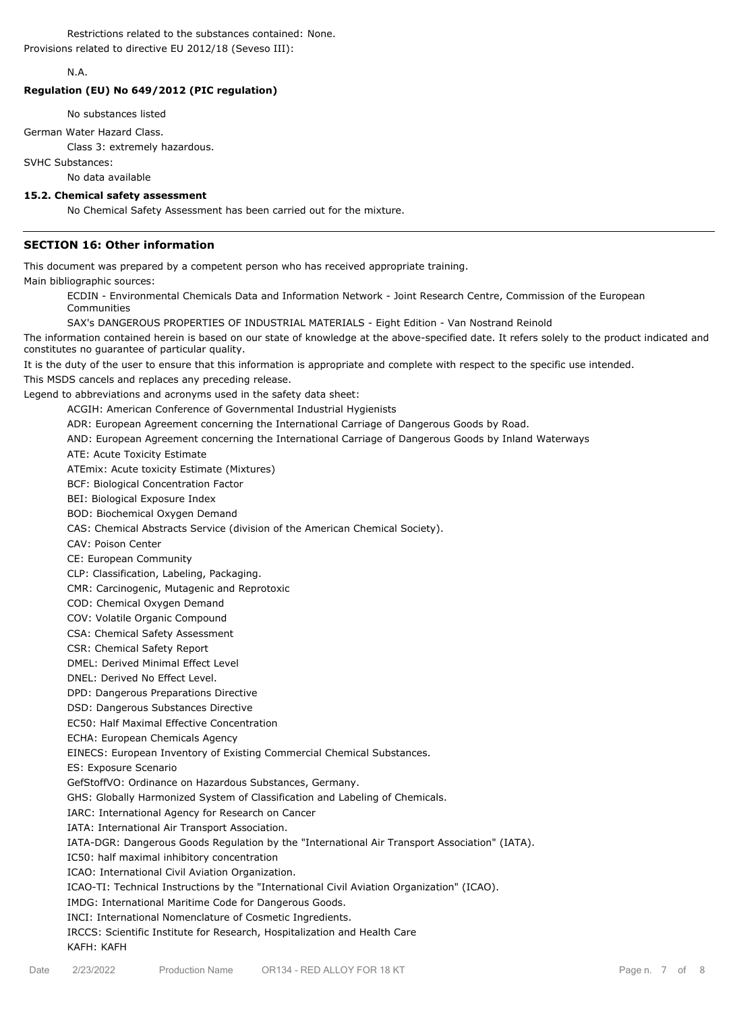Restrictions related to the substances contained: None. Provisions related to directive EU 2012/18 (Seveso III):

# N.A.

#### **Regulation (EU) No 649/2012 (PIC regulation)**

No substances listed

German Water Hazard Class.

Class 3: extremely hazardous.

SVHC Substances:

No data available

# **15.2. Chemical safety assessment**

No Chemical Safety Assessment has been carried out for the mixture.

## **SECTION 16: Other information**

This document was prepared by a competent person who has received appropriate training.

Main bibliographic sources:

ECDIN - Environmental Chemicals Data and Information Network - Joint Research Centre, Commission of the European Communities

SAX's DANGEROUS PROPERTIES OF INDUSTRIAL MATERIALS - Eight Edition - Van Nostrand Reinold

The information contained herein is based on our state of knowledge at the above-specified date. It refers solely to the product indicated and constitutes no guarantee of particular quality.

It is the duty of the user to ensure that this information is appropriate and complete with respect to the specific use intended. This MSDS cancels and replaces any preceding release.

Legend to abbreviations and acronyms used in the safety data sheet:

ACGIH: American Conference of Governmental Industrial Hygienists

ADR: European Agreement concerning the International Carriage of Dangerous Goods by Road.

AND: European Agreement concerning the International Carriage of Dangerous Goods by Inland Waterways

ATE: Acute Toxicity Estimate

ATEmix: Acute toxicity Estimate (Mixtures)

BCF: Biological Concentration Factor

BEI: Biological Exposure Index

BOD: Biochemical Oxygen Demand

CAS: Chemical Abstracts Service (division of the American Chemical Society).

CAV: Poison Center

CE: European Community

CLP: Classification, Labeling, Packaging.

CMR: Carcinogenic, Mutagenic and Reprotoxic

COD: Chemical Oxygen Demand

COV: Volatile Organic Compound

CSA: Chemical Safety Assessment

CSR: Chemical Safety Report

DMEL: Derived Minimal Effect Level

DNEL: Derived No Effect Level.

DPD: Dangerous Preparations Directive

DSD: Dangerous Substances Directive

EC50: Half Maximal Effective Concentration

ECHA: European Chemicals Agency

EINECS: European Inventory of Existing Commercial Chemical Substances.

ES: Exposure Scenario

GefStoffVO: Ordinance on Hazardous Substances, Germany.

GHS: Globally Harmonized System of Classification and Labeling of Chemicals.

IARC: International Agency for Research on Cancer

IATA: International Air Transport Association.

IATA-DGR: Dangerous Goods Regulation by the "International Air Transport Association" (IATA).

IC50: half maximal inhibitory concentration

ICAO: International Civil Aviation Organization.

ICAO-TI: Technical Instructions by the "International Civil Aviation Organization" (ICAO).

IMDG: International Maritime Code for Dangerous Goods.

INCI: International Nomenclature of Cosmetic Ingredients.

IRCCS: Scientific Institute for Research, Hospitalization and Health Care

KAFH: KAFH